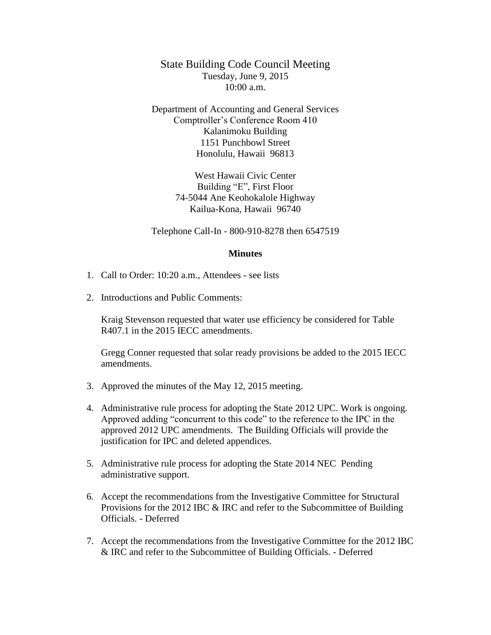State Building Code Council Meeting Tuesday, June 9, 2015  $10:00$  a.m.

Department of Accounting and General Services Comptroller's Conference Room 410 Kalanimoku Building 1151 Punchbowl Street Honolulu, Hawaii 96813

> West Hawaii Civic Center Building "E", First Floor 74-5044 Ane Keohokalole Highway Kailua-Kona, Hawaii 96740

Telephone Call-In - 800-910-8278 then 6547519

## **Minutes**

- 1. Call to Order: 10:20 a.m., Attendees see lists
- 2. Introductions and Public Comments:

Kraig Stevenson requested that water use efficiency be considered for Table R407.1 in the 2015 IECC amendments.

Gregg Conner requested that solar ready provisions be added to the 2015 IECC amendments.

- 3. Approved the minutes of the May 12, 2015 meeting.
- 4. Administrative rule process for adopting the State 2012 UPC. Work is ongoing. Approved adding "concurrent to this code" to the reference to the IPC in the approved 2012 UPC amendments. The Building Officials will provide the justification for IPC and deleted appendices.
- 5. Administrative rule process for adopting the State 2014 NEC Pending administrative support.
- 6. Accept the recommendations from the Investigative Committee for Structural Provisions for the 2012 IBC & IRC and refer to the Subcommittee of Building Officials. - Deferred
- 7. Accept the recommendations from the Investigative Committee for the 2012 IBC & IRC and refer to the Subcommittee of Building Officials. - Deferred